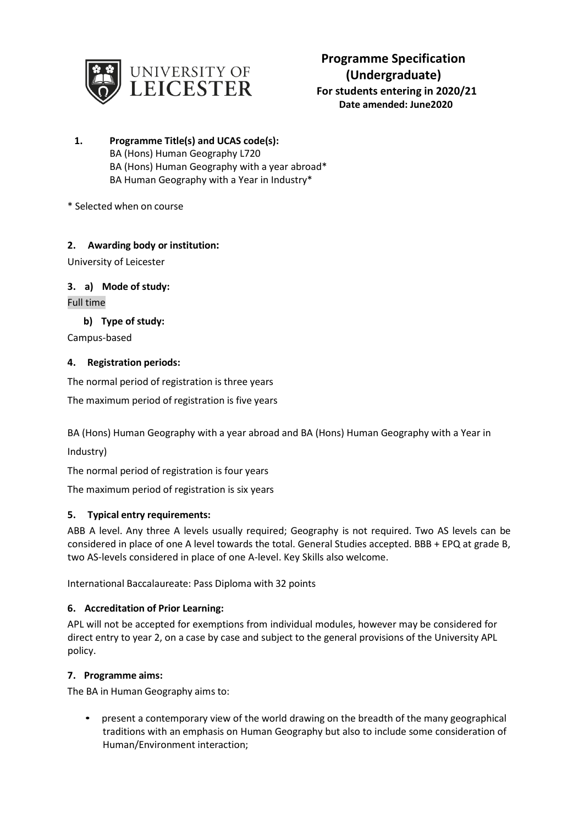

- **1. Programme Title(s) and UCAS code(s):** BA (Hons) Human Geography L720 BA (Hons) Human Geography with a year abroad\* BA Human Geography with a Year in Industry\*
- \* Selected when on course

## **2. Awarding body or institution:**

University of Leicester

## **3. a) Mode of study:**

Full time

## **b) Type of study:**

Campus-based

## **4. Registration periods:**

The normal period of registration is three years

The maximum period of registration is five years

BA (Hons) Human Geography with a year abroad and BA (Hons) Human Geography with a Year in

Industry)

The normal period of registration is four years

The maximum period of registration is six years

## **5. Typical entry requirements:**

ABB A level. Any three A levels usually required; Geography is not required. Two AS levels can be considered in place of one A level towards the total. General Studies accepted. BBB + EPQ at grade B, two AS-levels considered in place of one A-level. Key Skills also welcome.

International Baccalaureate: Pass Diploma with 32 points

## **6. Accreditation of Prior Learning:**

APL will not be accepted for exemptions from individual modules, however may be considered for direct entry to year 2, on a case by case and subject to the general provisions of the University APL policy.

## **7. Programme aims:**

The BA in Human Geography aims to:

• present a contemporary view of the world drawing on the breadth of the many geographical traditions with an emphasis on Human Geography but also to include some consideration of Human/Environment interaction;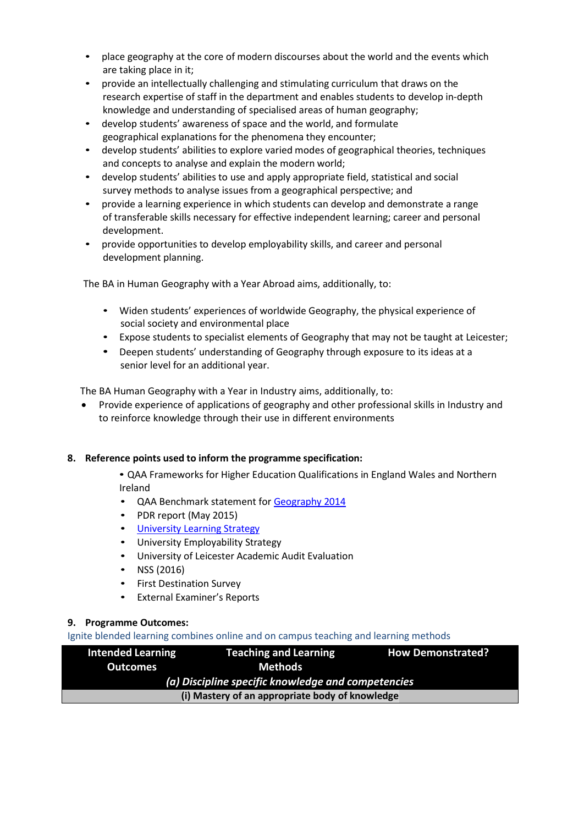- place geography at the core of modern discourses about the world and the events which are taking place in it;
- provide an intellectually challenging and stimulating curriculum that draws on the research expertise of staff in the department and enables students to develop in-depth knowledge and understanding of specialised areas of human geography;
- develop students' awareness of space and the world, and formulate geographical explanations for the phenomena they encounter;
- develop students' abilities to explore varied modes of geographical theories, techniques and concepts to analyse and explain the modern world;
- develop students' abilities to use and apply appropriate field, statistical and social survey methods to analyse issues from a geographical perspective; and
- provide a learning experience in which students can develop and demonstrate a range of transferable skills necessary for effective independent learning; career and personal development.
- provide opportunities to develop employability skills, and career and personal development planning.

The BA in Human Geography with a Year Abroad aims, additionally, to:

- Widen students' experiences of worldwide Geography, the physical experience of social society and environmental place
- Expose students to specialist elements of Geography that may not be taught at Leicester;
- Deepen students' understanding of Geography through exposure to its ideas at a senior level for an additional year.

The BA Human Geography with a Year in Industry aims, additionally, to:

• Provide experience of applications of geography and other professional skills in Industry and to reinforce knowledge through their use in different environments

## **8. Reference points used to inform the programme specification:**

- QAA Frameworks for Higher Education Qualifications in England Wales and Northern Ireland
- QAA Benchmark statement fo[r Geography](http://www.qaa.ac.uk/en/Publications/Documents/SBS-geography-14.pdf) 2014
- PDR report (May 2015)
- University [Learning Strategy](http://www2.le.ac.uk/offices/sas2/quality/learnteach)
- University Employability Strategy
- University of Leicester Academic Audit Evaluation
- NSS (2016)
- First Destination Survey
- External Examiner's Reports

## **9. Programme Outcomes:**

Ignite blended learning combines online and on campus teaching and learning methods

| <b>Intended Learning</b>                           | <b>Teaching and Learning</b> | <b>How Demonstrated?</b> |  |  |
|----------------------------------------------------|------------------------------|--------------------------|--|--|
| <b>Outcomes</b>                                    | <b>Methods</b>               |                          |  |  |
| (a) Discipline specific knowledge and competencies |                              |                          |  |  |
| (i) Mastery of an appropriate body of knowledge    |                              |                          |  |  |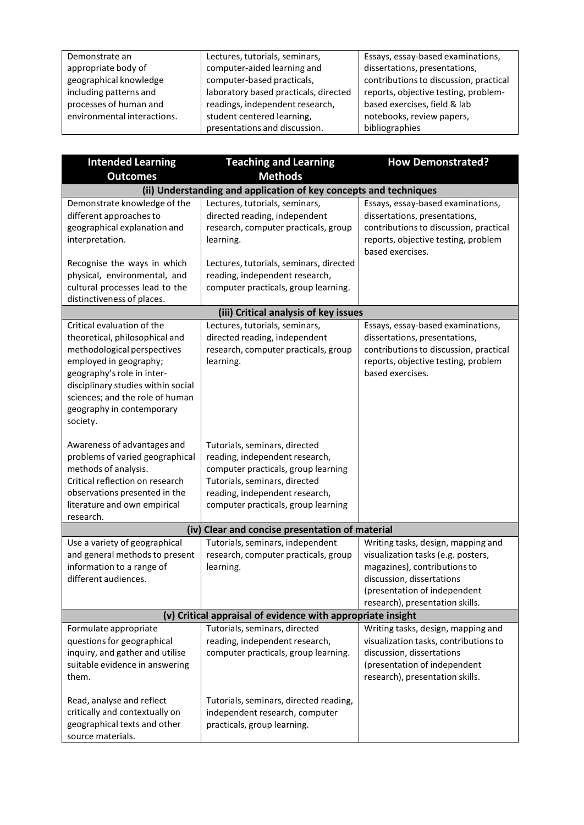| Demonstrate an              | Lectures, tutorials, seminars,        | Essays, essay-based examinations,      |
|-----------------------------|---------------------------------------|----------------------------------------|
| appropriate body of         | computer-aided learning and           | dissertations, presentations,          |
| geographical knowledge      | computer-based practicals,            | contributions to discussion, practical |
| including patterns and      | laboratory based practicals, directed | reports, objective testing, problem-   |
| processes of human and      | readings, independent research,       | based exercises, field & lab           |
| environmental interactions. | student centered learning,            | notebooks, review papers,              |
|                             | presentations and discussion.         | bibliographies                         |

| <b>Intended Learning</b>                                                                                                                                                                                                                                              | <b>Teaching and Learning</b>                                                                                                                                                                                     | <b>How Demonstrated?</b>                                                                                                                                                                                 |  |  |
|-----------------------------------------------------------------------------------------------------------------------------------------------------------------------------------------------------------------------------------------------------------------------|------------------------------------------------------------------------------------------------------------------------------------------------------------------------------------------------------------------|----------------------------------------------------------------------------------------------------------------------------------------------------------------------------------------------------------|--|--|
| <b>Outcomes</b>                                                                                                                                                                                                                                                       | <b>Methods</b>                                                                                                                                                                                                   |                                                                                                                                                                                                          |  |  |
| (ii) Understanding and application of key concepts and techniques                                                                                                                                                                                                     |                                                                                                                                                                                                                  |                                                                                                                                                                                                          |  |  |
| Demonstrate knowledge of the<br>different approaches to<br>geographical explanation and<br>interpretation.                                                                                                                                                            | Lectures, tutorials, seminars,<br>directed reading, independent<br>research, computer practicals, group<br>learning.                                                                                             | Essays, essay-based examinations,<br>dissertations, presentations,<br>contributions to discussion, practical<br>reports, objective testing, problem<br>based exercises.                                  |  |  |
| Recognise the ways in which<br>physical, environmental, and<br>cultural processes lead to the<br>distinctiveness of places.                                                                                                                                           | Lectures, tutorials, seminars, directed<br>reading, independent research,<br>computer practicals, group learning.                                                                                                |                                                                                                                                                                                                          |  |  |
|                                                                                                                                                                                                                                                                       | (iii) Critical analysis of key issues                                                                                                                                                                            |                                                                                                                                                                                                          |  |  |
| Critical evaluation of the<br>theoretical, philosophical and<br>methodological perspectives<br>employed in geography;<br>geography's role in inter-<br>disciplinary studies within social<br>sciences; and the role of human<br>geography in contemporary<br>society. | Lectures, tutorials, seminars,<br>directed reading, independent<br>research, computer practicals, group<br>learning.                                                                                             | Essays, essay-based examinations,<br>dissertations, presentations,<br>contributions to discussion, practical<br>reports, objective testing, problem<br>based exercises.                                  |  |  |
| Awareness of advantages and<br>problems of varied geographical<br>methods of analysis.<br>Critical reflection on research<br>observations presented in the<br>literature and own empirical<br>research.                                                               | Tutorials, seminars, directed<br>reading, independent research,<br>computer practicals, group learning<br>Tutorials, seminars, directed<br>reading, independent research,<br>computer practicals, group learning |                                                                                                                                                                                                          |  |  |
| (iv) Clear and concise presentation of material                                                                                                                                                                                                                       |                                                                                                                                                                                                                  |                                                                                                                                                                                                          |  |  |
| Use a variety of geographical<br>and general methods to present<br>information to a range of<br>different audiences.                                                                                                                                                  | Tutorials, seminars, independent<br>research, computer practicals, group<br>learning.                                                                                                                            | Writing tasks, design, mapping and<br>visualization tasks (e.g. posters,<br>magazines), contributions to<br>discussion, dissertations<br>(presentation of independent<br>research), presentation skills. |  |  |
|                                                                                                                                                                                                                                                                       | (v) Critical appraisal of evidence with appropriate insight                                                                                                                                                      |                                                                                                                                                                                                          |  |  |
| Formulate appropriate<br>questions for geographical<br>inquiry, and gather and utilise<br>suitable evidence in answering<br>them.                                                                                                                                     | Tutorials, seminars, directed<br>reading, independent research,<br>computer practicals, group learning.                                                                                                          | Writing tasks, design, mapping and<br>visualization tasks, contributions to<br>discussion, dissertations<br>(presentation of independent<br>research), presentation skills.                              |  |  |
| Read, analyse and reflect<br>critically and contextually on<br>geographical texts and other<br>source materials.                                                                                                                                                      | Tutorials, seminars, directed reading,<br>independent research, computer<br>practicals, group learning.                                                                                                          |                                                                                                                                                                                                          |  |  |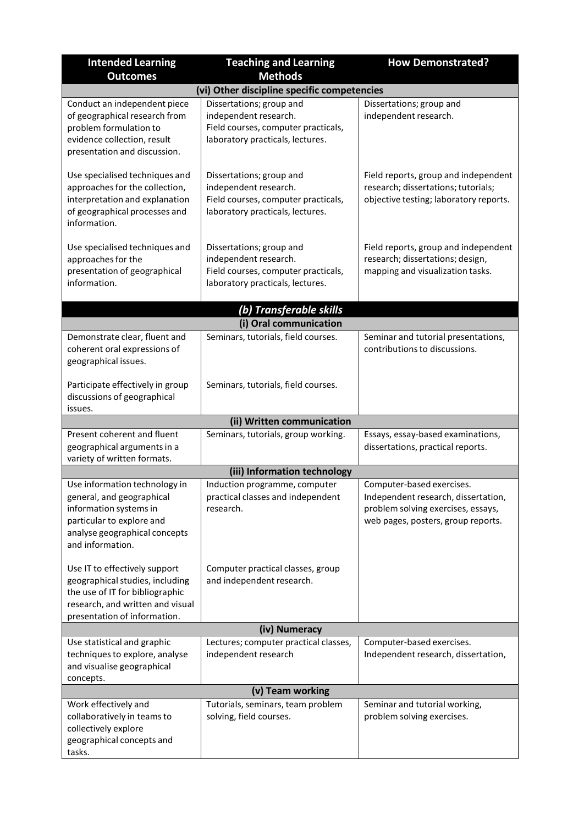| <b>Intended Learning</b>                                                                                                                                                | <b>Teaching and Learning</b>                                                                                                 | <b>How Demonstrated?</b>                                                                                                                     |  |  |
|-------------------------------------------------------------------------------------------------------------------------------------------------------------------------|------------------------------------------------------------------------------------------------------------------------------|----------------------------------------------------------------------------------------------------------------------------------------------|--|--|
| <b>Outcomes</b>                                                                                                                                                         | <b>Methods</b>                                                                                                               |                                                                                                                                              |  |  |
|                                                                                                                                                                         | (vi) Other discipline specific competencies                                                                                  |                                                                                                                                              |  |  |
| Conduct an independent piece<br>of geographical research from<br>problem formulation to<br>evidence collection, result<br>presentation and discussion.                  | Dissertations; group and<br>independent research.<br>Field courses, computer practicals,<br>laboratory practicals, lectures. | Dissertations; group and<br>independent research.                                                                                            |  |  |
| Use specialised techniques and<br>approaches for the collection,<br>interpretation and explanation<br>of geographical processes and<br>information.                     | Dissertations; group and<br>independent research.<br>Field courses, computer practicals,<br>laboratory practicals, lectures. | Field reports, group and independent<br>research; dissertations; tutorials;<br>objective testing; laboratory reports.                        |  |  |
| Use specialised techniques and<br>approaches for the<br>presentation of geographical<br>information.                                                                    | Dissertations; group and<br>independent research.<br>Field courses, computer practicals,<br>laboratory practicals, lectures. | Field reports, group and independent<br>research; dissertations; design,<br>mapping and visualization tasks.                                 |  |  |
|                                                                                                                                                                         | (b) Transferable skills                                                                                                      |                                                                                                                                              |  |  |
|                                                                                                                                                                         | (i) Oral communication                                                                                                       |                                                                                                                                              |  |  |
| Demonstrate clear, fluent and<br>coherent oral expressions of<br>geographical issues.                                                                                   | Seminars, tutorials, field courses.                                                                                          | Seminar and tutorial presentations,<br>contributions to discussions.                                                                         |  |  |
| Participate effectively in group<br>discussions of geographical<br>issues.                                                                                              | Seminars, tutorials, field courses.                                                                                          |                                                                                                                                              |  |  |
|                                                                                                                                                                         | (ii) Written communication                                                                                                   |                                                                                                                                              |  |  |
| Present coherent and fluent<br>geographical arguments in a<br>variety of written formats.                                                                               | Seminars, tutorials, group working.                                                                                          | Essays, essay-based examinations,<br>dissertations, practical reports.                                                                       |  |  |
|                                                                                                                                                                         | (iii) Information technology                                                                                                 |                                                                                                                                              |  |  |
| Use information technology in<br>general, and geographical<br>information systems in<br>particular to explore and<br>analyse geographical concepts<br>and information.  | Induction programme, computer<br>practical classes and independent<br>research.                                              | Computer-based exercises.<br>Independent research, dissertation,<br>problem solving exercises, essays,<br>web pages, posters, group reports. |  |  |
| Use IT to effectively support<br>geographical studies, including<br>the use of IT for bibliographic<br>research, and written and visual<br>presentation of information. | Computer practical classes, group<br>and independent research.                                                               |                                                                                                                                              |  |  |
| (iv) Numeracy                                                                                                                                                           |                                                                                                                              |                                                                                                                                              |  |  |
| Use statistical and graphic<br>techniques to explore, analyse<br>and visualise geographical<br>concepts.                                                                | Lectures; computer practical classes,<br>independent research                                                                | Computer-based exercises.<br>Independent research, dissertation,                                                                             |  |  |
|                                                                                                                                                                         | (v) Team working                                                                                                             |                                                                                                                                              |  |  |
| Work effectively and<br>collaboratively in teams to<br>collectively explore<br>geographical concepts and<br>tasks.                                                      | Tutorials, seminars, team problem<br>solving, field courses.                                                                 | Seminar and tutorial working,<br>problem solving exercises.                                                                                  |  |  |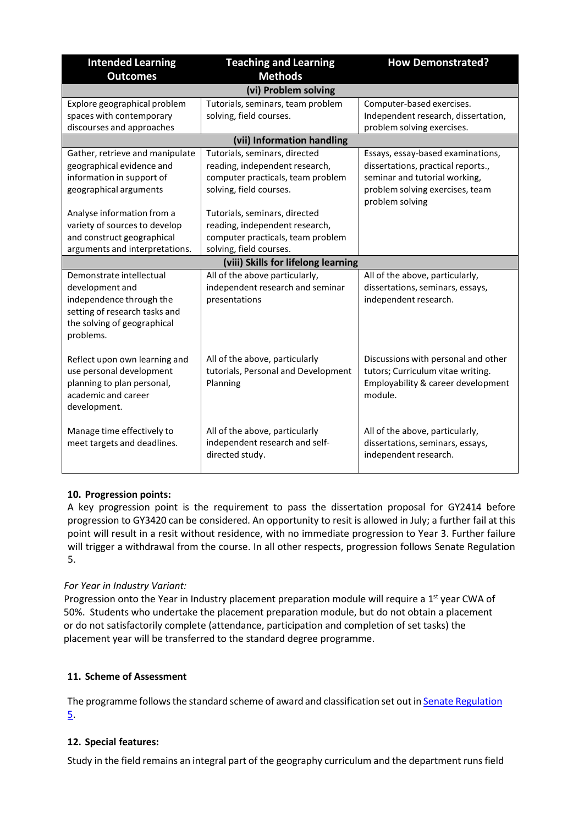| <b>Intended Learning</b><br><b>Outcomes</b>                                                                                                                                                                                                                                                                                                                                                                                                                                                                                                                                                                                   | <b>Teaching and Learning</b><br><b>Methods</b>                                      | <b>How Demonstrated?</b>                                                                                                  |  |  |
|-------------------------------------------------------------------------------------------------------------------------------------------------------------------------------------------------------------------------------------------------------------------------------------------------------------------------------------------------------------------------------------------------------------------------------------------------------------------------------------------------------------------------------------------------------------------------------------------------------------------------------|-------------------------------------------------------------------------------------|---------------------------------------------------------------------------------------------------------------------------|--|--|
|                                                                                                                                                                                                                                                                                                                                                                                                                                                                                                                                                                                                                               | (vi) Problem solving                                                                |                                                                                                                           |  |  |
| Explore geographical problem<br>spaces with contemporary<br>discourses and approaches                                                                                                                                                                                                                                                                                                                                                                                                                                                                                                                                         | Tutorials, seminars, team problem<br>solving, field courses.                        | Computer-based exercises.<br>Independent research, dissertation,<br>problem solving exercises.                            |  |  |
|                                                                                                                                                                                                                                                                                                                                                                                                                                                                                                                                                                                                                               | (vii) Information handling                                                          |                                                                                                                           |  |  |
| Gather, retrieve and manipulate<br>Tutorials, seminars, directed<br>Essays, essay-based examinations,<br>reading, independent research,<br>geographical evidence and<br>dissertations, practical reports.,<br>information in support of<br>computer practicals, team problem<br>seminar and tutorial working,<br>solving, field courses.<br>geographical arguments<br>problem solving exercises, team<br>problem solving<br>Analyse information from a<br>Tutorials, seminars, directed<br>variety of sources to develop<br>reading, independent research,<br>and construct geographical<br>computer practicals, team problem |                                                                                     |                                                                                                                           |  |  |
| arguments and interpretations.                                                                                                                                                                                                                                                                                                                                                                                                                                                                                                                                                                                                | solving, field courses.<br>(viii) Skills for lifelong learning                      |                                                                                                                           |  |  |
| Demonstrate intellectual<br>development and<br>independence through the<br>setting of research tasks and<br>the solving of geographical<br>problems.                                                                                                                                                                                                                                                                                                                                                                                                                                                                          | All of the above particularly,<br>independent research and seminar<br>presentations | All of the above, particularly,<br>dissertations, seminars, essays,<br>independent research.                              |  |  |
| Reflect upon own learning and<br>use personal development<br>planning to plan personal,<br>academic and career<br>development.                                                                                                                                                                                                                                                                                                                                                                                                                                                                                                | All of the above, particularly<br>tutorials, Personal and Development<br>Planning   | Discussions with personal and other<br>tutors; Curriculum vitae writing.<br>Employability & career development<br>module. |  |  |
| Manage time effectively to<br>meet targets and deadlines.                                                                                                                                                                                                                                                                                                                                                                                                                                                                                                                                                                     | All of the above, particularly<br>independent research and self-<br>directed study. | All of the above, particularly,<br>dissertations, seminars, essays,<br>independent research.                              |  |  |

# **10. Progression points:**

A key progression point is the requirement to pass the dissertation proposal for GY2414 before progression to GY3420 can be considered. An opportunity to resit is allowed in July; a further fail at this point will result in a resit without residence, with no immediate progression to Year 3. Further failure will trigger a withdrawal from the course. In all other respects, progression follows Senate Regulation 5.

## *For Year in Industry Variant:*

Progression onto the Year in Industry placement preparation module will require a  $1<sup>st</sup>$  year CWA of 50%. Students who undertake the placement preparation module, but do not obtain a placement or do not satisfactorily complete (attendance, participation and completion of set tasks) the placement year will be transferred to the standard degree programme.

## **11. Scheme of Assessment**

The programme follows the standard scheme of award and classification set out in Senate [Regulation](http://www2.le.ac.uk/offices/sas2/regulations/general-regulations-for-taught-programmes) [5.](http://www2.le.ac.uk/offices/sas2/regulations/general-regulations-for-taught-programmes)

## **12. Special features:**

Study in the field remains an integral part of the geography curriculum and the department runs field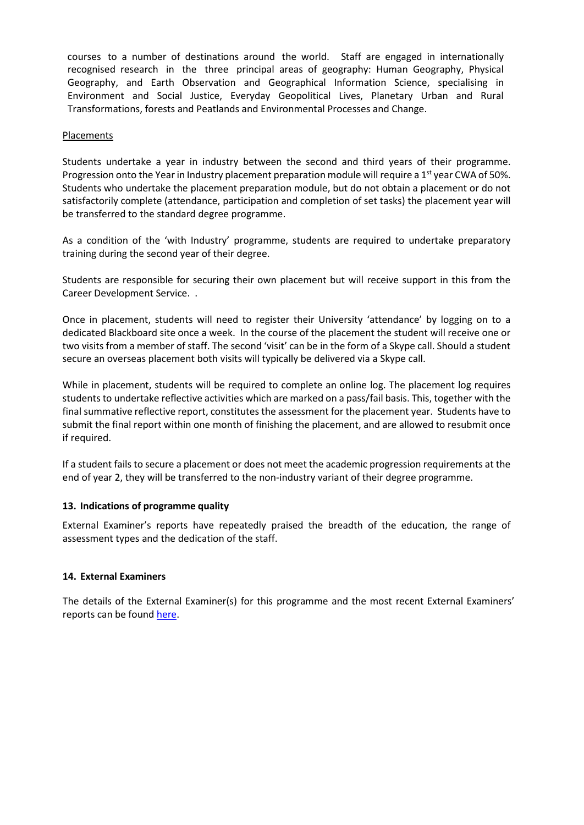courses to a number of destinations around the world. Staff are engaged in internationally recognised research in the three principal areas of geography: Human Geography, Physical Geography, and Earth Observation and Geographical Information Science, specialising in Environment and Social Justice, Everyday Geopolitical Lives, Planetary Urban and Rural Transformations, forests and Peatlands and Environmental Processes and Change.

## Placements

Students undertake a year in industry between the second and third years of their programme. Progression onto the Year in Industry placement preparation module will require a 1<sup>st</sup> year CWA of 50%. Students who undertake the placement preparation module, but do not obtain a placement or do not satisfactorily complete (attendance, participation and completion of set tasks) the placement year will be transferred to the standard degree programme.

As a condition of the 'with Industry' programme, students are required to undertake preparatory training during the second year of their degree.

Students are responsible for securing their own placement but will receive support in this from the Career Development Service. .

Once in placement, students will need to register their University 'attendance' by logging on to a dedicated Blackboard site once a week. In the course of the placement the student will receive one or two visits from a member of staff. The second 'visit' can be in the form of a Skype call. Should a student secure an overseas placement both visits will typically be delivered via a Skype call.

While in placement, students will be required to complete an online log. The placement log requires students to undertake reflective activities which are marked on a pass/fail basis. This, together with the final summative reflective report, constitutes the assessment for the placement year. Students have to submit the final report within one month of finishing the placement, and are allowed to resubmit once if required.

If a student fails to secure a placement or does not meet the academic progression requirements at the end of year 2, they will be transferred to the non-industry variant of their degree programme.

## **13. Indications of programme quality**

External Examiner's reports have repeatedly praised the breadth of the education, the range of assessment types and the dedication of the staff.

### **14. External Examiners**

The details of the External Examiner(s) for this programme and the most recent External Examiners' reports can be found [here.](https://exampapers.le.ac.uk/xmlui/handle/123456789/287)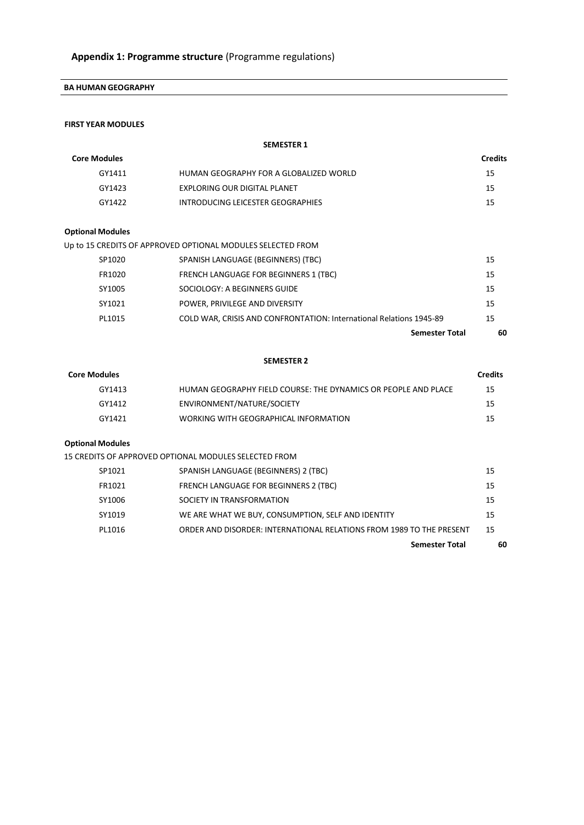**BA HUMAN GEOGRAPHY**

#### **FIRST YEAR MODULES**

| <b>SEMESTER 1</b>       |                                                                     |                |  |
|-------------------------|---------------------------------------------------------------------|----------------|--|
| <b>Core Modules</b>     |                                                                     | <b>Credits</b> |  |
| GY1411                  | HUMAN GEOGRAPHY FOR A GLOBALIZED WORLD                              | 15             |  |
| GY1423                  | EXPLORING OUR DIGITAL PLANET                                        | 15             |  |
| GY1422                  | INTRODUCING LEICESTER GEOGRAPHIES                                   | 15             |  |
|                         |                                                                     |                |  |
| <b>Optional Modules</b> |                                                                     |                |  |
|                         | Up to 15 CREDITS OF APPROVED OPTIONAL MODULES SELECTED FROM         |                |  |
| SP1020                  | SPANISH LANGUAGE (BEGINNERS) (TBC)                                  | 15             |  |
| FR1020                  | FRENCH LANGUAGE FOR BEGINNERS 1 (TBC)                               | 15             |  |
| SY1005                  | SOCIOLOGY: A BEGINNERS GUIDE                                        | 15             |  |
| SY1021                  | POWER, PRIVILEGE AND DIVERSITY                                      | 15             |  |
| PL1015                  | COLD WAR, CRISIS AND CONFRONTATION: International Relations 1945-89 | 15             |  |

**Semester Total 60**

## **SEMESTER 2**

#### **Core Modules Credits**

| GY1413 | HUMAN GEOGRAPHY FIELD COURSE: THE DYNAMICS OR PEOPLE AND PLACE | 15 |
|--------|----------------------------------------------------------------|----|
| GY1412 | ENVIRONMENT/NATURE/SOCIETY                                     | 15 |
| GY1421 | WORKING WITH GEOGRAPHICAL INFORMATION                          | 15 |

#### **Optional Modules**

15 CREDITS OF APPROVED OPTIONAL MODULES SELECTED FROM

|        |                                                                      | <b>Semester Total</b> | 60 |
|--------|----------------------------------------------------------------------|-----------------------|----|
| PL1016 | ORDER AND DISORDER: INTERNATIONAL RELATIONS FROM 1989 TO THE PRESENT |                       | 15 |
| SY1019 | WE ARE WHAT WE BUY, CONSUMPTION, SELF AND IDENTITY                   |                       | 15 |
| SY1006 | SOCIETY IN TRANSFORMATION                                            |                       | 15 |
| FR1021 | FRENCH LANGUAGE FOR BEGINNERS 2 (TBC)                                |                       | 15 |
| SP1021 | SPANISH LANGUAGE (BEGINNERS) 2 (TBC)                                 |                       | 15 |
|        |                                                                      |                       |    |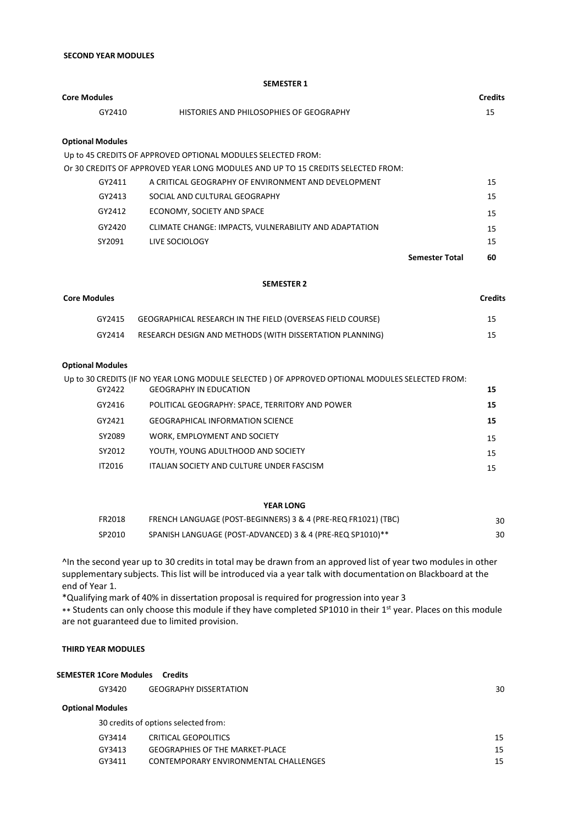#### **SECOND YEAR MODULES**

|                         | <b>SEMESTER 1</b>                                                               |                |
|-------------------------|---------------------------------------------------------------------------------|----------------|
| Core Modules            |                                                                                 | <b>Credits</b> |
| GY2410                  | HISTORIES AND PHILOSOPHIES OF GEOGRAPHY                                         | 15             |
| <b>Optional Modules</b> |                                                                                 |                |
|                         | Up to 45 CREDITS OF APPROVED OPTIONAL MODULES SELECTED FROM:                    |                |
|                         | Or 30 CREDITS OF APPROVED YEAR LONG MODULES AND UP TO 15 CREDITS SELECTED FROM: |                |
| GY2411                  | A CRITICAL GEOGRAPHY OF ENVIRONMENT AND DEVELOPMENT                             | 15             |
| GY2413                  | SOCIAL AND CULTURAL GEOGRAPHY                                                   | 15             |
| GY2412                  | ECONOMY, SOCIETY AND SPACE                                                      | 15             |
| GY2420                  | CLIMATE CHANGE: IMPACTS, VULNERABILITY AND ADAPTATION                           | 15             |
| SY2091                  | LIVE SOCIOLOGY                                                                  | 15             |
|                         | <b>Semester Total</b>                                                           | 60             |
|                         | <b>SEMESTER 2</b>                                                               |                |

# **Core Modules Credits** GY2415 GEOGRAPHICAL RESEARCH IN THE FIELD (OVERSEAS FIELD COURSE) 15 GY2414 RESEARCH DESIGN AND METHODS (WITH DISSERTATION PLANNING) 15

#### **Optional Modules**

| GY2422        | Up to 30 CREDITS (IF NO YEAR LONG MODULE SELECTED ) OF APPROVED OPTIONAL MODULES SELECTED FROM:<br><b>GEOGRAPHY IN EDUCATION</b> | 15 |
|---------------|----------------------------------------------------------------------------------------------------------------------------------|----|
| GY2416        | POLITICAL GEOGRAPHY: SPACE, TERRITORY AND POWER                                                                                  | 15 |
| GY2421        | <b>GEOGRAPHICAL INFORMATION SCIENCE</b>                                                                                          | 15 |
| SY2089        | WORK, EMPLOYMENT AND SOCIETY                                                                                                     | 15 |
| SY2012        | YOUTH, YOUNG ADULTHOOD AND SOCIETY                                                                                               | 15 |
| <b>IT2016</b> | ITALIAN SOCIETY AND CULTURE UNDER FASCISM                                                                                        | 15 |

#### **YEAR LONG**

| FR2018 | FRENCH LANGUAGE (POST-BEGINNERS) 3 & 4 (PRE-REQ FR1021) (TBC) | 30 |
|--------|---------------------------------------------------------------|----|
| SP2010 | SPANISH LANGUAGE (POST-ADVANCED) 3 & 4 (PRE-REQ SP1010)**     | 30 |

^In the second year up to 30 creditsin total may be drawn from an approved list of year two modulesin other supplementary subjects. This list will be introduced via a year talk with documentation on Blackboard at the end of Year 1.

\*Qualifying mark of 40% in dissertation proposal is required for progression into year 3

\*\* Students can only choose this module if they have completed SP1010 in their 1<sup>st</sup> year. Places on this module are not guaranteed due to limited provision.

#### **THIRD YEAR MODULES**

| <b>SEMESTER 1Core Modules</b> | <b>Credits</b>                         |    |
|-------------------------------|----------------------------------------|----|
| GY3420                        | <b>GEOGRAPHY DISSERTATION</b>          | 30 |
| <b>Optional Modules</b>       |                                        |    |
|                               | 30 credits of options selected from:   |    |
| GY3414                        | CRITICAL GEOPOLITICS                   | 15 |
| GY3413                        | <b>GEOGRAPHIES OF THE MARKET-PLACE</b> | 15 |
| GY3411                        | CONTEMPORARY ENVIRONMENTAL CHALLENGES  | 15 |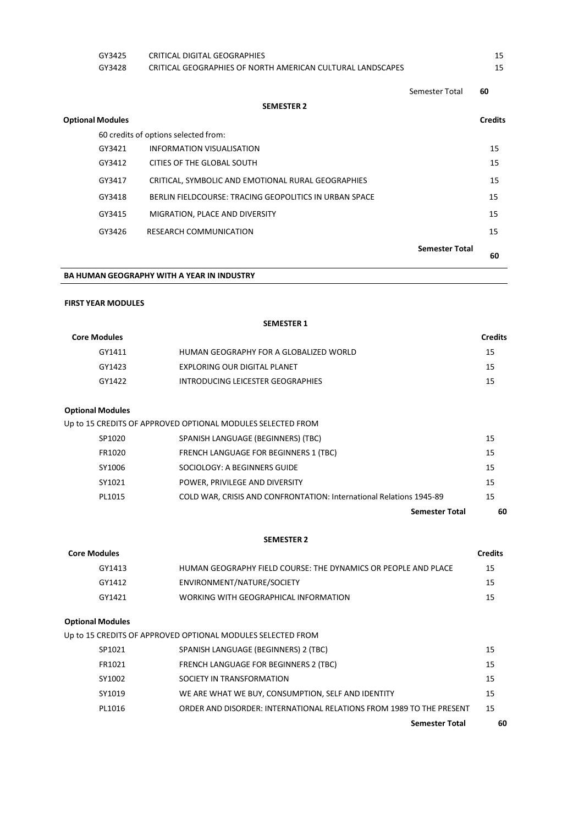| GY3425                  | CRITICAL DIGITAL GEOGRAPHIES                               |                       | 15             |
|-------------------------|------------------------------------------------------------|-----------------------|----------------|
| GY3428                  | CRITICAL GEOGRAPHIES OF NORTH AMERICAN CULTURAL LANDSCAPES |                       | 15             |
|                         |                                                            | Semester Total        | 60             |
|                         | <b>SEMESTER 2</b>                                          |                       |                |
| <b>Optional Modules</b> |                                                            |                       | <b>Credits</b> |
|                         | 60 credits of options selected from:                       |                       |                |
| GY3421                  | INFORMATION VISUALISATION                                  |                       | 15             |
| GY3412                  | CITIES OF THE GLOBAL SOUTH                                 |                       | 15             |
| GY3417                  | CRITICAL, SYMBOLIC AND EMOTIONAL RURAL GEOGRAPHIES         |                       | 15             |
| GY3418                  | BERLIN FIELDCOURSE: TRACING GEOPOLITICS IN URBAN SPACE     |                       | 15             |
| GY3415                  | MIGRATION, PLACE AND DIVERSITY                             |                       | 15             |
| GY3426                  | RESEARCH COMMUNICATION                                     |                       | 15             |
|                         |                                                            | <b>Semester Total</b> | 60             |
|                         |                                                            |                       |                |

#### **BA HUMAN GEOGRAPHY WITH A YEAR IN INDUSTRY**

#### **FIRST YEAR MODULES**

| <b>SEMESTER 1</b> |                                        |         |  |
|-------------------|----------------------------------------|---------|--|
| Core Modules      |                                        | Credits |  |
| GY1411            | HUMAN GEOGRAPHY FOR A GLOBALIZED WORLD | 15      |  |
| GY1423            | EXPLORING OUR DIGITAL PLANET           | 15      |  |
| GY1422            | INTRODUCING LEICESTER GEOGRAPHIES      | 15      |  |
|                   |                                        |         |  |

## **Optional Modules**

|                           |                                                                     | <b>Semester Total</b> | 60 |
|---------------------------|---------------------------------------------------------------------|-----------------------|----|
| PL1015                    | COLD WAR, CRISIS AND CONFRONTATION: International Relations 1945-89 |                       | 15 |
| SY1021                    | POWER, PRIVILEGE AND DIVERSITY                                      |                       | 15 |
| SY1006                    | SOCIOLOGY: A BEGINNERS GUIDE                                        |                       | 15 |
| FR1020                    | FRENCH LANGUAGE FOR BEGINNERS 1 (TBC)                               |                       | 15 |
| SP1020                    | SPANISH LANGUAGE (BEGINNERS) (TBC)                                  |                       | 15 |
|                           | Up to 15 CREDITS OF APPROVED OPTIONAL MODULES SELECTED FROM         |                       |    |
| <b>UPUULIAI IVIUUULES</b> |                                                                     |                       |    |

#### **SEMESTER 2**

| <b>Core Modules</b> |                                                                |    |
|---------------------|----------------------------------------------------------------|----|
| GY1413              | HUMAN GEOGRAPHY FIELD COURSE: THE DYNAMICS OR PEOPLE AND PLACE | 15 |
| GY1412              | ENVIRONMENT/NATURE/SOCIETY                                     | 15 |
| GY1421              | WORKING WITH GEOGRAPHICAL INFORMATION                          | 15 |

#### **Optional Modules**

Up to 15 CREDITS OF APPROVED OPTIONAL MODULES SELECTED FROM

|        |                                                                      | <b>Semester Total</b> | 60 |
|--------|----------------------------------------------------------------------|-----------------------|----|
| PL1016 | ORDER AND DISORDER: INTERNATIONAL RELATIONS FROM 1989 TO THE PRESENT |                       | 15 |
| SY1019 | WE ARE WHAT WE BUY, CONSUMPTION, SELF AND IDENTITY                   |                       | 15 |
| SY1002 | SOCIETY IN TRANSFORMATION                                            |                       | 15 |
| FR1021 | FRENCH LANGUAGE FOR BEGINNERS 2 (TBC)                                |                       | 15 |
| SP1021 | SPANISH LANGUAGE (BEGINNERS) 2 (TBC)                                 |                       | 15 |
|        |                                                                      |                       |    |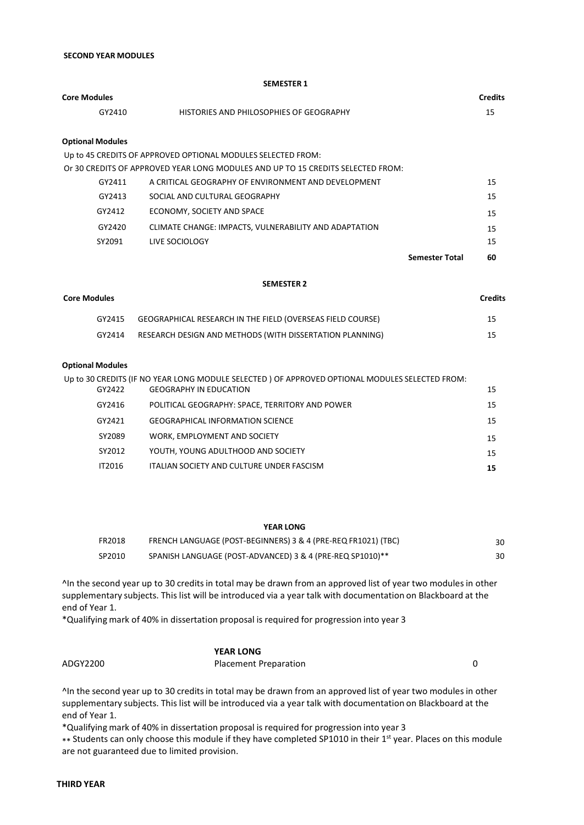# **THIRD YEAR**

|                         | SEMESTER 1                                                                      |                |
|-------------------------|---------------------------------------------------------------------------------|----------------|
| Core Modules            |                                                                                 | <b>Credits</b> |
| GY2410                  | HISTORIES AND PHILOSOPHIES OF GEOGRAPHY                                         | 15             |
| <b>Optional Modules</b> |                                                                                 |                |
|                         | Up to 45 CREDITS OF APPROVED OPTIONAL MODULES SELECTED FROM:                    |                |
|                         | Or 30 CREDITS OF APPROVED YEAR LONG MODULES AND UP TO 15 CREDITS SELECTED FROM: |                |
| GY2411                  | A CRITICAL GEOGRAPHY OF ENVIRONMENT AND DEVELOPMENT                             | 15             |
| GY2413                  | SOCIAL AND CULTURAL GEOGRAPHY                                                   | 15             |
| GY2412                  | ECONOMY, SOCIETY AND SPACE                                                      | 15             |
| GY2420                  | CLIMATE CHANGE: IMPACTS, VULNERABILITY AND ADAPTATION                           | 15             |
| SY2091                  | LIVE SOCIOLOGY                                                                  | 15             |
|                         | <b>Semester Total</b>                                                           | 60             |
|                         | <b>SEMESTER 2</b>                                                               |                |
| <b>Core Modules</b>     |                                                                                 | <b>Credits</b> |
| GY2415                  | GEOGRAPHICAL RESEARCH IN THE FIELD (OVERSEAS FIELD COURSE)                      | 15             |
| GY2414                  | RESEARCH DESIGN AND METHODS (WITH DISSERTATION PLANNING)                        | 15             |
| <b>Optional Modules</b> |                                                                                 |                |

|               | Up to 30 CREDITS (IF NO YEAR LONG MODULE SELECTED ) OF APPROVED OPTIONAL MODULES SELECTED FROM: I |    |
|---------------|---------------------------------------------------------------------------------------------------|----|
| GY2422        | <b>GEOGRAPHY IN EDUCATION</b>                                                                     | 15 |
| GY2416        | POLITICAL GEOGRAPHY: SPACE, TERRITORY AND POWER                                                   | 15 |
| GY2421        | <b>GEOGRAPHICAL INFORMATION SCIENCE</b>                                                           | 15 |
| SY2089        | WORK, EMPLOYMENT AND SOCIETY                                                                      | 15 |
| SY2012        | YOUTH, YOUNG ADULTHOOD AND SOCIETY                                                                | 15 |
| <b>IT2016</b> | ITALIAN SOCIETY AND CULTURE UNDER FASCISM                                                         | 15 |

#### **YEAR LONG**

| FR2018 | FRENCH LANGUAGE (POST-BEGINNERS) 3 & 4 (PRE-REQ FR1021) (TBC) | 30 |
|--------|---------------------------------------------------------------|----|
| SP2010 | SPANISH LANGUAGE (POST-ADVANCED) 3 & 4 (PRE-REQ SP1010)**     | 30 |

^In the second year up to 30 creditsin total may be drawn from an approved list of year two modulesin other supplementary subjects. This list will be introduced via a year talk with documentation on Blackboard at the end of Year 1.

\*Qualifying mark of 40% in dissertation proposal is required for progression into year 3

#### **YEAR LONG**

ADGY2200 Placement Preparation 0

^In the second year up to 30 creditsin total may be drawn from an approved list of year two modulesin other supplementary subjects. This list will be introduced via a year talk with documentation on Blackboard at the end of Year 1.

\*Qualifying mark of 40% in dissertation proposal is required for progression into year 3

\*\* Students can only choose this module if they have completed SP1010 in their 1<sup>st</sup> year. Places on this module are not guaranteed due to limited provision.

## **SECOND YEAR MODULES**

# **SEMESTER 1**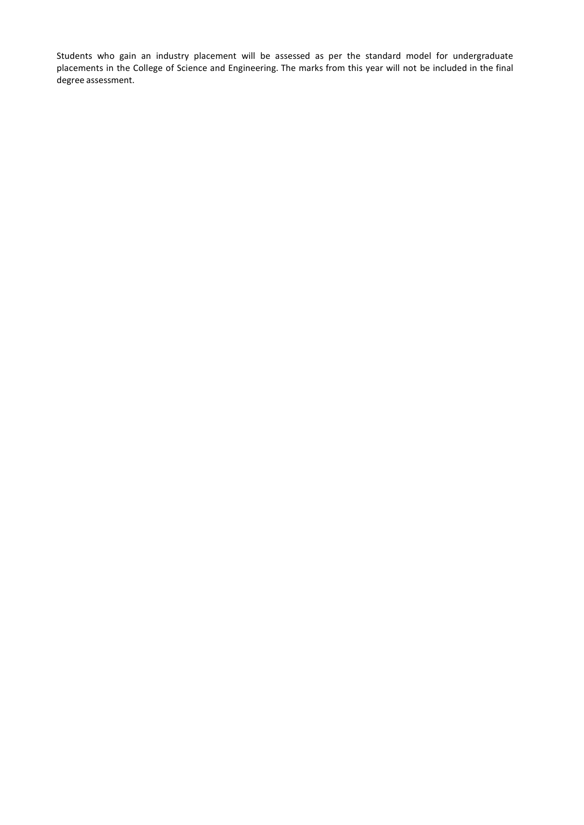Students who gain an industry placement will be assessed as per the standard model for undergraduate placements in the College of Science and Engineering. The marks from this year will not be included in the final degree assessment.